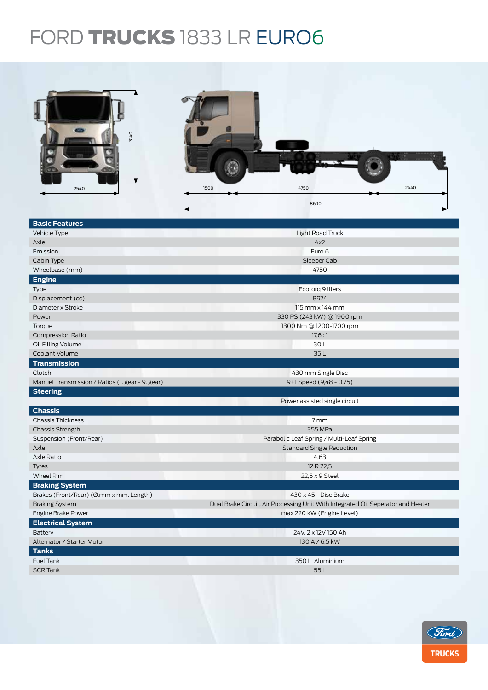## FORD TRUCKS 1833 LR EURO6



| <b>Basic Features</b>                            |                                                                                  |  |  |
|--------------------------------------------------|----------------------------------------------------------------------------------|--|--|
| Vehicle Type                                     | Light Road Truck                                                                 |  |  |
| Axle                                             | 4x2                                                                              |  |  |
| Emission                                         | Euro 6                                                                           |  |  |
| Cabin Type                                       | Sleeper Cab                                                                      |  |  |
| Wheelbase (mm)                                   | 4750                                                                             |  |  |
| <b>Engine</b>                                    |                                                                                  |  |  |
| Type                                             | Ecotorg 9 liters                                                                 |  |  |
| Displacement (cc)                                | 8974                                                                             |  |  |
| Diameter x Stroke                                | $115$ mm $\times$ 144 mm                                                         |  |  |
| Power                                            | 330 PS (243 kW) @ 1900 rpm                                                       |  |  |
| Torque                                           | 1300 Nm @ 1200-1700 rpm                                                          |  |  |
| <b>Compression Ratio</b>                         | 17.6:1                                                                           |  |  |
| Oil Filling Volume                               | 30L                                                                              |  |  |
| Coolant Volume                                   | 35L                                                                              |  |  |
| <b>Transmission</b>                              |                                                                                  |  |  |
| Clutch                                           | 430 mm Single Disc                                                               |  |  |
| Manuel Transmission / Ratios (1. gear - 9. gear) | 9+1 Speed (9,48 - 0,75)                                                          |  |  |
| <b>Steering</b>                                  |                                                                                  |  |  |
|                                                  | Power assisted single circuit                                                    |  |  |
| <b>Chassis</b>                                   |                                                                                  |  |  |
| <b>Chassis Thickness</b>                         | 7mm                                                                              |  |  |
| <b>Chassis Strength</b>                          | 355 MPa                                                                          |  |  |
| Suspension (Front/Rear)                          | Parabolic Leaf Spring / Multi-Leaf Spring                                        |  |  |
| Axle                                             | <b>Standard Single Reduction</b>                                                 |  |  |
| Axle Ratio                                       | 4,63                                                                             |  |  |
| <b>Tyres</b>                                     | 12 R 22,5                                                                        |  |  |
| <b>Wheel Rim</b>                                 | 22,5 x 9 Steel                                                                   |  |  |
| <b>Braking System</b>                            |                                                                                  |  |  |
| Brakes (Front/Rear) (Ø.mm x mm. Length)          | 430 x 45 - Disc Brake                                                            |  |  |
| <b>Braking System</b>                            | Dual Brake Circuit, Air Processing Unit With Integrated Oil Seperator and Heater |  |  |
| Engine Brake Power                               | max 220 kW (Engine Level)                                                        |  |  |
| <b>Electrical System</b>                         |                                                                                  |  |  |
| Battery                                          | 24V, 2 x 12V 150 Ah                                                              |  |  |
| Alternator / Starter Motor                       | 130 A / 6,5 kW                                                                   |  |  |
| <b>Tanks</b>                                     |                                                                                  |  |  |
| <b>Fuel Tank</b>                                 | 350 L Aluminium                                                                  |  |  |
| <b>SCR Tank</b>                                  | 55L                                                                              |  |  |
|                                                  |                                                                                  |  |  |
|                                                  |                                                                                  |  |  |